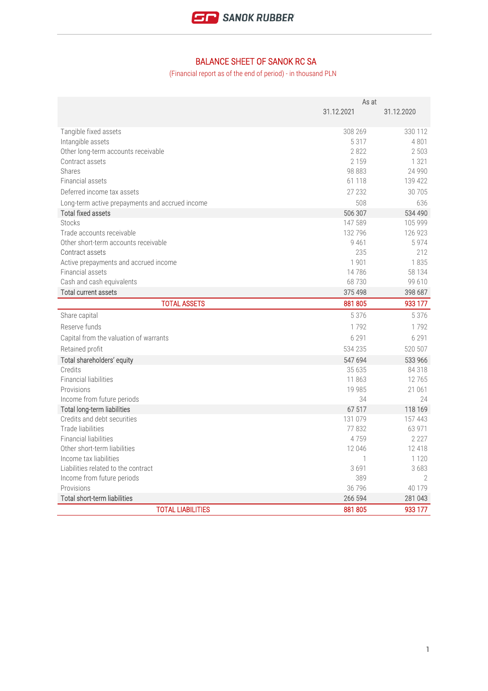

## BALANCE SHEET OF SANOK RC SA

(Financial report as of the end of period) - in thousand PLN

|                                                 | As at        |            |
|-------------------------------------------------|--------------|------------|
|                                                 | 31.12.2021   | 31.12.2020 |
| Tangible fixed assets                           | 308 269      | 330 112    |
| Intangible assets                               | 5 3 1 7      | 4801       |
| Other long-term accounts receivable             | 2822         | 2 5 0 3    |
| Contract assets                                 | 2 1 5 9      | 1 3 2 1    |
| Shares                                          | 98 883       | 24 9 9 0   |
| Financial assets                                | 61 118       | 139 422    |
| Deferred income tax assets                      | 27 232       | 30 705     |
| Long-term active prepayments and accrued income | 508          | 636        |
| <b>Total fixed assets</b>                       | 506 307      | 534 490    |
| <b>Stocks</b>                                   | 147 589      | 105 999    |
| Trade accounts receivable                       | 132 796      | 126 923    |
| Other short-term accounts receivable            | 9 4 6 1      | 5974       |
| Contract assets                                 | 235          | 212        |
| Active prepayments and accrued income           | 1901         | 1835       |
| Financial assets                                | 14786        | 58 134     |
| Cash and cash equivalents                       | 68730        | 99 610     |
| <b>Total current assets</b>                     | 375 498      | 398 687    |
| <b>TOTAL ASSETS</b>                             | 881 805      | 933 177    |
| Share capital                                   | 5 3 7 6      | 5 3 7 6    |
| Reserve funds                                   | 1792         | 1792       |
| Capital from the valuation of warrants          | 6 2 9 1      | 6 2 9 1    |
| Retained profit                                 | 534 235      | 520 507    |
| Total shareholders' equity                      | 547 694      | 533 966    |
| Credits                                         | 35 635       | 84 318     |
| <b>Financial liabilities</b>                    | 11863        | 12765      |
| Provisions                                      | 19 985       | 21 061     |
| Income from future periods                      | 34           | 24         |
| Total long-term liabilities                     | 67 517       | 118 169    |
| Credits and debt securities                     | 131 079      | 157 443    |
| Trade liabilities                               | 77832        | 63 971     |
| <b>Financial liabilities</b>                    | 4759         | 2 2 2 7    |
| Other short-term liabilities                    | 12 046       | 12 418     |
| Income tax liabilities                          | $\mathbf{1}$ | 1 1 2 0    |
| Liabilities related to the contract             | 3691         | 3683       |
| Income from future periods                      | 389          | 2          |
| Provisions                                      | 36 796       | 40 179     |
| <b>Total short-term liabilities</b>             | 266 594      | 281 043    |
| <b>TOTAL LIABILITIES</b>                        | 881805       | 933 177    |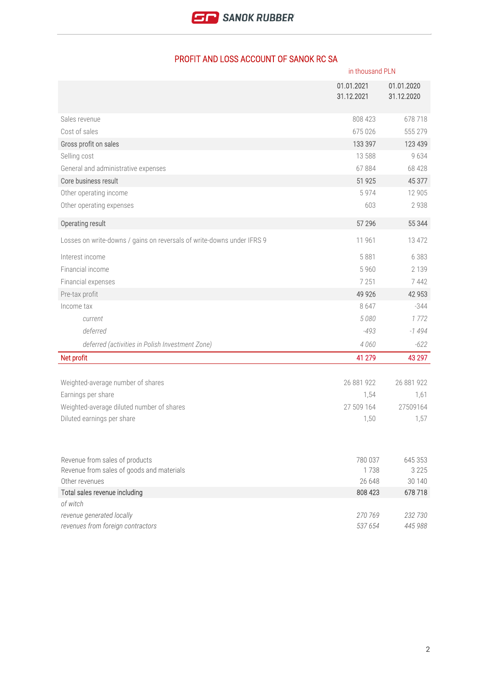|                                                                        | in thousand PLN          |                          |
|------------------------------------------------------------------------|--------------------------|--------------------------|
|                                                                        | 01.01.2021<br>31.12.2021 | 01.01.2020<br>31.12.2020 |
| Sales revenue                                                          | 808 423                  | 678 718                  |
| Cost of sales                                                          | 675 026                  | 555 279                  |
| Gross profit on sales                                                  | 133 397                  | 123 439                  |
| Selling cost                                                           | 13 588                   | 9634                     |
| General and administrative expenses                                    | 67884                    | 68 4 28                  |
| Core business result                                                   | 51 925                   | 45 377                   |
| Other operating income                                                 | 5974                     | 12 905                   |
| Other operating expenses                                               | 603                      | 2938                     |
| Operating result                                                       | 57 29 6                  | 55 344                   |
| Losses on write-downs / gains on reversals of write-downs under IFRS 9 | 11 961                   | 13 472                   |
| Interest income                                                        | 5881                     | 6 3 8 3                  |
| Financial income                                                       | 5 9 6 0                  | 2 1 3 9                  |
| Financial expenses                                                     | 7 2 5 1                  | 7442                     |
| Pre-tax profit                                                         | 49 9 26                  | 42 9 53                  |
| Income tax                                                             | 8647                     | $-344$                   |
| current                                                                | 5080                     | 1772                     |
| deferred                                                               | $-493$                   | $-1494$                  |
| deferred (activities in Polish Investment Zone)                        | 4 0 6 0                  | $-622$                   |
| Net profit                                                             | 41 279                   | 43 297                   |
|                                                                        | 26 881 922               | 26 881 922               |
| Weighted-average number of shares<br>Earnings per share                |                          |                          |
| Weighted-average diluted number of shares                              | 1,54<br>27 509 164       | 1,61<br>27509164         |
| Diluted earnings per share                                             | 1,50                     | 1,57                     |
|                                                                        |                          |                          |
| Revenue from sales of products                                         | 780 037                  | 645 353                  |
| Revenue from sales of goods and materials                              | 1738                     | 3 2 2 5                  |
| Other revenues                                                         | 26 648                   | 30 140                   |
| Total sales revenue including                                          | 808 423                  | 678718                   |
| of witch<br>revenue generated locally                                  |                          | 232 730                  |
| revenues from foreign contractors                                      | 270 769<br>537 654       | 445 988                  |